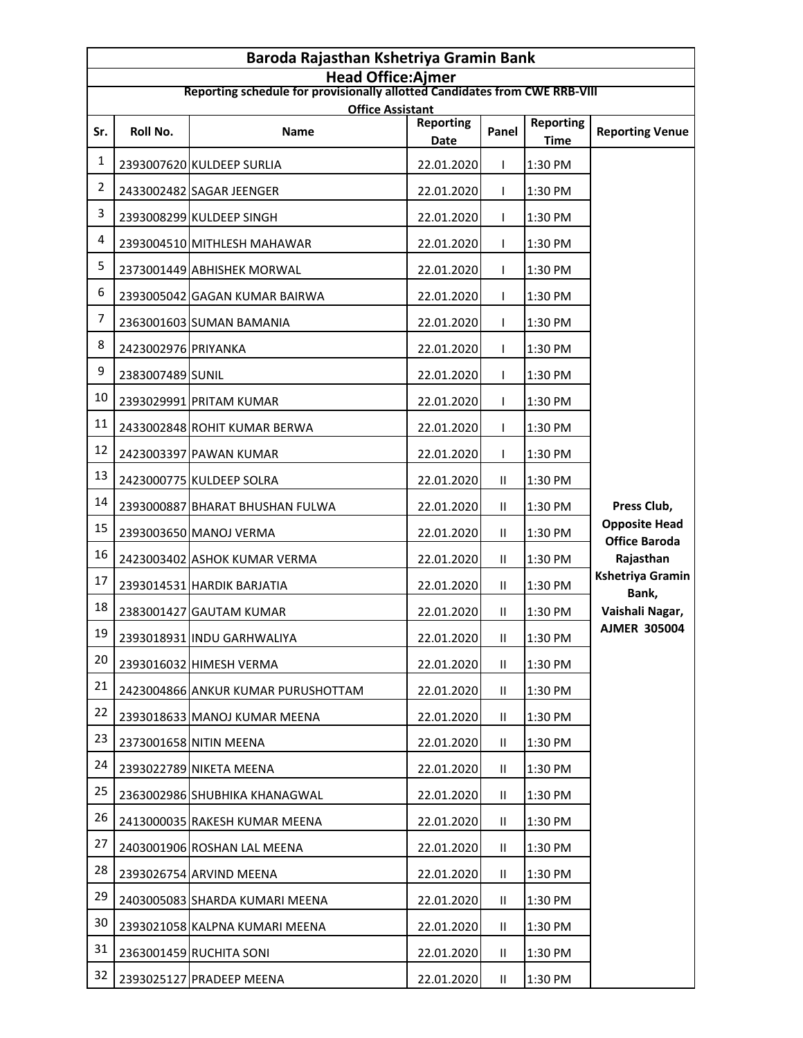| Baroda Rajasthan Kshetriya Gramin Bank                                                                 |                     |                                    |                          |               |                                 |                                              |
|--------------------------------------------------------------------------------------------------------|---------------------|------------------------------------|--------------------------|---------------|---------------------------------|----------------------------------------------|
| <b>Head Office:Ajmer</b><br>Reporting schedule for provisionally allotted Candidates from CWE RRB-VIII |                     |                                    |                          |               |                                 |                                              |
|                                                                                                        |                     | <b>Office Assistant</b>            |                          |               |                                 |                                              |
| Sr.                                                                                                    | Roll No.            | <b>Name</b>                        | <b>Reporting</b><br>Date | Panel         | <b>Reporting</b><br><b>Time</b> | <b>Reporting Venue</b>                       |
| 1                                                                                                      |                     | 2393007620 KULDEEP SURLIA          | 22.01.2020               |               | 1:30 PM                         |                                              |
| 2                                                                                                      |                     | 2433002482 SAGAR JEENGER           | 22.01.2020               | T             | 1:30 PM                         |                                              |
| 3                                                                                                      |                     | 2393008299 KULDEEP SINGH           | 22.01.2020               | L             | 1:30 PM                         |                                              |
| 4                                                                                                      |                     | 2393004510 MITHLESH MAHAWAR        | 22.01.2020               |               | 1:30 PM                         |                                              |
| 5                                                                                                      |                     | 2373001449 ABHISHEK MORWAL         | 22.01.2020               |               | 1:30 PM                         |                                              |
| 6                                                                                                      |                     | 2393005042 GAGAN KUMAR BAIRWA      | 22.01.2020               | L             | 1:30 PM                         |                                              |
| 7                                                                                                      |                     | 2363001603 SUMAN BAMANIA           | 22.01.2020               | T             | 1:30 PM                         |                                              |
| 8                                                                                                      | 2423002976 PRIYANKA |                                    | 22.01.2020               | T             | 1:30 PM                         |                                              |
| 9                                                                                                      | 2383007489 SUNIL    |                                    | 22.01.2020               | L             | 1:30 PM                         |                                              |
| 10                                                                                                     |                     | 2393029991 PRITAM KUMAR            | 22.01.2020               | T             | 1:30 PM                         |                                              |
| 11                                                                                                     |                     | 2433002848 ROHIT KUMAR BERWA       | 22.01.2020               | T             | 1:30 PM                         |                                              |
| 12                                                                                                     |                     | 2423003397 PAWAN KUMAR             | 22.01.2020               | L             | 1:30 PM                         |                                              |
| 13                                                                                                     |                     | 2423000775 KULDEEP SOLRA           | 22.01.2020               | Ш             | 1:30 PM                         |                                              |
| 14                                                                                                     |                     | 2393000887 BHARAT BHUSHAN FULWA    | 22.01.2020               | Ш             | 1:30 PM                         | Press Club,                                  |
| 15                                                                                                     |                     | 2393003650 MANOJ VERMA             | 22.01.2020               | Ш.            | 1:30 PM                         | <b>Opposite Head</b><br><b>Office Baroda</b> |
| 16                                                                                                     |                     | 2423003402 ASHOK KUMAR VERMA       | 22.01.2020               | Ш.            | 1:30 PM                         | Rajasthan                                    |
| 17                                                                                                     |                     | 2393014531 HARDIK BARJATIA         | 22.01.2020               | Ш.            | 1:30 PM                         | <b>Kshetriya Gramin</b><br>Bank,             |
| 18                                                                                                     |                     | 2383001427 GAUTAM KUMAR            | 22.01.2020               | Ш.            | 1:30 PM                         | Vaishali Nagar,                              |
| 19                                                                                                     |                     | 2393018931 INDU GARHWALIYA         | 22.01.2020               | $\mathbf{II}$ | 1:30 PM                         | <b>AJMER 305004</b>                          |
| 20                                                                                                     |                     | 2393016032 HIMESH VERMA            | 22.01.2020               | Ш.            | 1:30 PM                         |                                              |
| 21                                                                                                     |                     | 2423004866 ANKUR KUMAR PURUSHOTTAM | 22.01.2020               | Ш.            | 1:30 PM                         |                                              |
| 22                                                                                                     |                     | 2393018633 MANOJ KUMAR MEENA       | 22.01.2020               | Ш.            | 1:30 PM                         |                                              |
| 23                                                                                                     |                     | 2373001658 NITIN MEENA             | 22.01.2020               | Ш.            | 1:30 PM                         |                                              |
| 24                                                                                                     |                     | 2393022789 NIKETA MEENA            | 22.01.2020               | $\mathbf{II}$ | 1:30 PM                         |                                              |
| 25                                                                                                     |                     | 2363002986 SHUBHIKA KHANAGWAL      | 22.01.2020               | $\mathbf{II}$ | 1:30 PM                         |                                              |
| 26                                                                                                     |                     | 2413000035 RAKESH KUMAR MEENA      | 22.01.2020               | Ш.            | 1:30 PM                         |                                              |
| 27                                                                                                     |                     | 2403001906 ROSHAN LAL MEENA        | 22.01.2020               | Ш.            | 1:30 PM                         |                                              |
| 28                                                                                                     |                     | 2393026754 ARVIND MEENA            | 22.01.2020               | $\mathbf{II}$ | 1:30 PM                         |                                              |
| 29                                                                                                     |                     | 2403005083 SHARDA KUMARI MEENA     | 22.01.2020               | Ш.            | 1:30 PM                         |                                              |
| 30                                                                                                     |                     | 2393021058 KALPNA KUMARI MEENA     | 22.01.2020               | $\mathbf{II}$ | 1:30 PM                         |                                              |
| 31                                                                                                     |                     | 2363001459 RUCHITA SONI            | 22.01.2020               | $\mathbf{II}$ | 1:30 PM                         |                                              |
| 32                                                                                                     |                     | 2393025127 PRADEEP MEENA           | 22.01.2020               | Ш.            | 1:30 PM                         |                                              |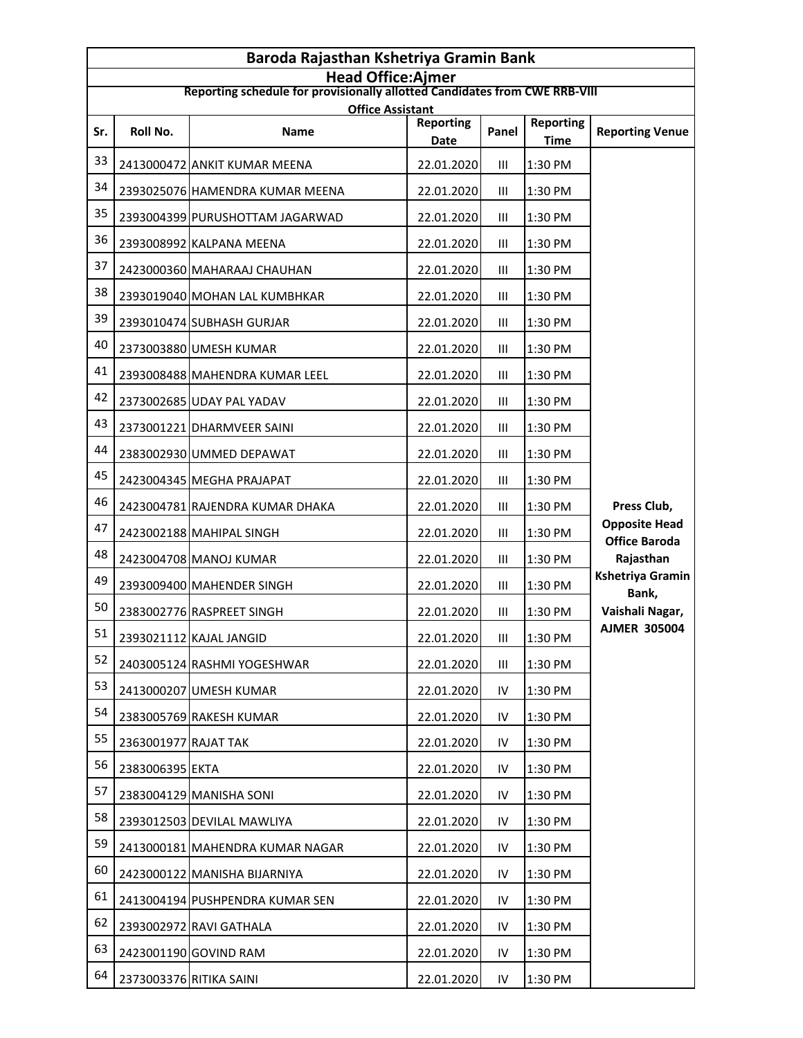| Baroda Rajasthan Kshetriya Gramin Bank |                      |                                                                                                        |                          |       |                                 |                                              |  |
|----------------------------------------|----------------------|--------------------------------------------------------------------------------------------------------|--------------------------|-------|---------------------------------|----------------------------------------------|--|
|                                        |                      | <b>Head Office:Ajmer</b><br>Reporting schedule for provisionally allotted Candidates from CWE RRB-VIII |                          |       |                                 |                                              |  |
| <b>Office Assistant</b>                |                      |                                                                                                        |                          |       |                                 |                                              |  |
| Sr.                                    | Roll No.             | <b>Name</b>                                                                                            | <b>Reporting</b><br>Date | Panel | <b>Reporting</b><br><b>Time</b> | <b>Reporting Venue</b>                       |  |
| 33                                     |                      | 2413000472 ANKIT KUMAR MEENA                                                                           | 22.01.2020               | III   | 1:30 PM                         |                                              |  |
| 34                                     |                      | 2393025076 HAMENDRA KUMAR MEENA                                                                        | 22.01.2020               | Ш     | 1:30 PM                         |                                              |  |
| 35                                     |                      | 2393004399 PURUSHOTTAM JAGARWAD                                                                        | 22.01.2020               | Ш     | 1:30 PM                         |                                              |  |
| 36                                     |                      | 2393008992 KALPANA MEENA                                                                               | 22.01.2020               | Ш     | 1:30 PM                         |                                              |  |
| 37                                     |                      | 2423000360 MAHARAAJ CHAUHAN                                                                            | 22.01.2020               | Ш     | 1:30 PM                         |                                              |  |
| 38                                     |                      | 2393019040 MOHAN LAL KUMBHKAR                                                                          | 22.01.2020               | Ш     | 1:30 PM                         |                                              |  |
| 39                                     |                      | 2393010474 SUBHASH GURJAR                                                                              | 22.01.2020               | Ш     | 1:30 PM                         |                                              |  |
| 40                                     |                      | 2373003880 UMESH KUMAR                                                                                 | 22.01.2020               | Ш     | 1:30 PM                         |                                              |  |
| 41                                     |                      | 2393008488 MAHENDRA KUMAR LEEL                                                                         | 22.01.2020               | Ш     | 1:30 PM                         |                                              |  |
| 42                                     |                      | 2373002685 UDAY PAL YADAV                                                                              | 22.01.2020               | Ш     | 1:30 PM                         |                                              |  |
| 43                                     |                      | 2373001221 DHARMVEER SAINI                                                                             | 22.01.2020               | Ш     | 1:30 PM                         |                                              |  |
| 44                                     |                      | 2383002930 UMMED DEPAWAT                                                                               | 22.01.2020               | Ш     | 1:30 PM                         |                                              |  |
| 45                                     |                      | 2423004345 MEGHA PRAJAPAT                                                                              | 22.01.2020               | Ш     | 1:30 PM                         |                                              |  |
| 46                                     |                      | 2423004781 RAJENDRA KUMAR DHAKA                                                                        | 22.01.2020               | Ш     | 1:30 PM                         | Press Club,                                  |  |
| 47                                     |                      | 2423002188 MAHIPAL SINGH                                                                               | 22.01.2020               | Ш     | 1:30 PM                         | <b>Opposite Head</b><br><b>Office Baroda</b> |  |
| 48                                     |                      | 2423004708 MANOJ KUMAR                                                                                 | 22.01.2020               | Ш     | 1:30 PM                         | Rajasthan                                    |  |
| 49                                     |                      | 2393009400 MAHENDER SINGH                                                                              | 22.01.2020               | Ш     | 1:30 PM                         | Kshetriya Gramin<br>Bank,                    |  |
| 50                                     |                      | 2383002776 RASPREET SINGH                                                                              | 22.01.2020               | Ш     | 1:30 PM                         | Vaishali Nagar,                              |  |
| 51                                     |                      | 2393021112 KAJAL JANGID                                                                                | 22.01.2020               | III   | 1:30 PM                         | <b>AJMER 305004</b>                          |  |
| 52                                     |                      | 2403005124 RASHMI YOGESHWAR                                                                            | 22.01.2020               | Ш     | 1:30 PM                         |                                              |  |
| 53                                     |                      | 2413000207 UMESH KUMAR                                                                                 | 22.01.2020               | IV    | 1:30 PM                         |                                              |  |
| 54                                     |                      | 2383005769 RAKESH KUMAR                                                                                | 22.01.2020               | IV    | 1:30 PM                         |                                              |  |
| 55                                     | 2363001977 RAJAT TAK |                                                                                                        | 22.01.2020               | IV    | 1:30 PM                         |                                              |  |
| 56                                     | 2383006395 EKTA      |                                                                                                        | 22.01.2020               | IV    | 1:30 PM                         |                                              |  |
| 57                                     |                      | 2383004129 MANISHA SONI                                                                                | 22.01.2020               | IV    | 1:30 PM                         |                                              |  |
| 58                                     |                      | 2393012503 DEVILAL MAWLIYA                                                                             | 22.01.2020               | IV    | 1:30 PM                         |                                              |  |
| 59                                     |                      | 2413000181 MAHENDRA KUMAR NAGAR                                                                        | 22.01.2020               | IV    | 1:30 PM                         |                                              |  |
| 60                                     |                      | 2423000122 MANISHA BIJARNIYA                                                                           | 22.01.2020               | IV    | 1:30 PM                         |                                              |  |
| 61                                     |                      | 2413004194 PUSHPENDRA KUMAR SEN                                                                        | 22.01.2020               | IV    | 1:30 PM                         |                                              |  |
| 62                                     |                      | 2393002972 RAVI GATHALA                                                                                | 22.01.2020               | IV    | 1:30 PM                         |                                              |  |
| 63                                     |                      | 2423001190 GOVIND RAM                                                                                  | 22.01.2020               | IV    | 1:30 PM                         |                                              |  |
| 64                                     |                      | 2373003376 RITIKA SAINI                                                                                | 22.01.2020               | IV    | 1:30 PM                         |                                              |  |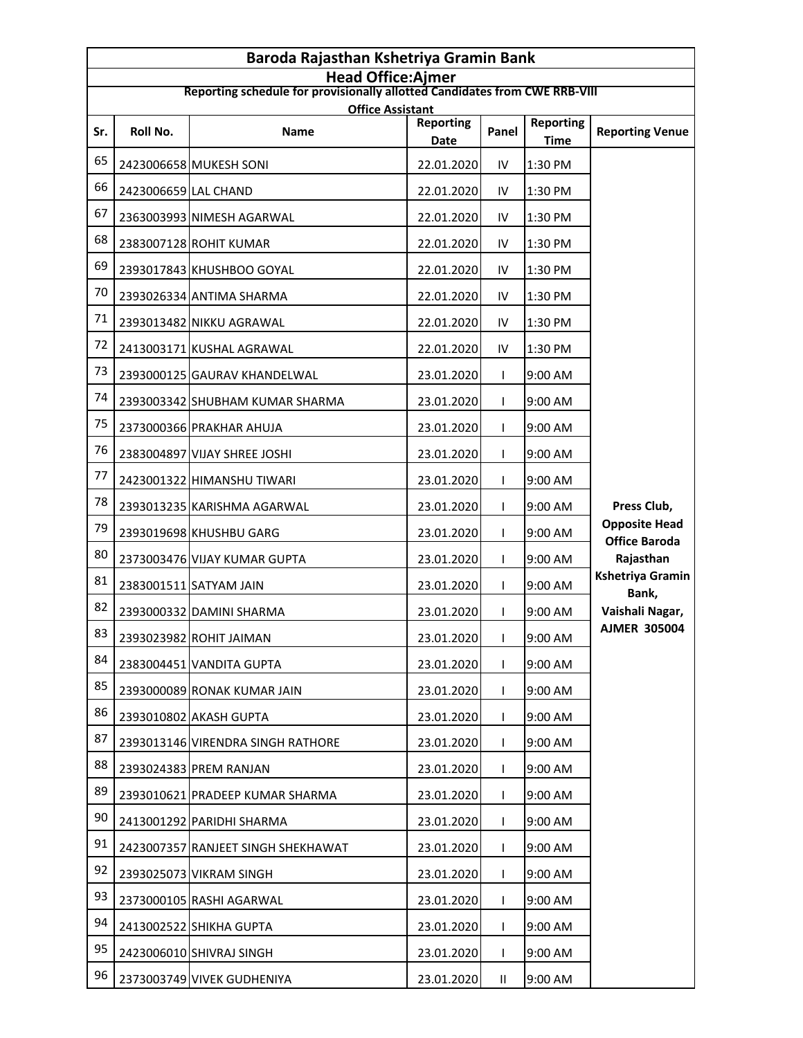| Baroda Rajasthan Kshetriya Gramin Bank                                                                 |                      |                                    |                          |              |                                 |                                              |  |
|--------------------------------------------------------------------------------------------------------|----------------------|------------------------------------|--------------------------|--------------|---------------------------------|----------------------------------------------|--|
| <b>Head Office:Ajmer</b><br>Reporting schedule for provisionally allotted Candidates from CWE RRB-VIII |                      |                                    |                          |              |                                 |                                              |  |
| <b>Office Assistant</b>                                                                                |                      |                                    |                          |              |                                 |                                              |  |
| Sr.                                                                                                    | Roll No.             | <b>Name</b>                        | <b>Reporting</b><br>Date | Panel        | <b>Reporting</b><br><b>Time</b> | <b>Reporting Venue</b>                       |  |
| 65                                                                                                     |                      | 2423006658 MUKESH SONI             | 22.01.2020               | IV           | 1:30 PM                         |                                              |  |
| 66                                                                                                     | 2423006659 LAL CHAND |                                    | 22.01.2020               | IV           | 1:30 PM                         |                                              |  |
| 67                                                                                                     |                      | 2363003993 NIMESH AGARWAL          | 22.01.2020               | IV           | 1:30 PM                         |                                              |  |
| 68                                                                                                     |                      | 2383007128 ROHIT KUMAR             | 22.01.2020               | IV           | 1:30 PM                         |                                              |  |
| 69                                                                                                     |                      | 2393017843 KHUSHBOO GOYAL          | 22.01.2020               | IV           | 1:30 PM                         |                                              |  |
| 70                                                                                                     |                      | 2393026334 ANTIMA SHARMA           | 22.01.2020               | IV           | 1:30 PM                         |                                              |  |
| 71                                                                                                     |                      | 2393013482 NIKKU AGRAWAL           | 22.01.2020               | IV           | 1:30 PM                         |                                              |  |
| 72                                                                                                     |                      | 2413003171 KUSHAL AGRAWAL          | 22.01.2020               | IV           | 1:30 PM                         |                                              |  |
| 73                                                                                                     |                      | 2393000125 GAURAV KHANDELWAL       | 23.01.2020               | L            | 9:00 AM                         |                                              |  |
| 74                                                                                                     |                      | 2393003342 SHUBHAM KUMAR SHARMA    | 23.01.2020               | L            | 9:00 AM                         |                                              |  |
| 75                                                                                                     |                      | 2373000366 PRAKHAR AHUJA           | 23.01.2020               | T            | 9:00 AM                         |                                              |  |
| 76                                                                                                     |                      | 2383004897 VIJAY SHREE JOSHI       | 23.01.2020               | L            | 9:00 AM                         |                                              |  |
| 77                                                                                                     |                      | 2423001322 HIMANSHU TIWARI         | 23.01.2020               | L            | 9:00 AM                         |                                              |  |
| 78                                                                                                     |                      | 2393013235 KARISHMA AGARWAL        | 23.01.2020               | T            | 9:00 AM                         | Press Club,                                  |  |
| 79                                                                                                     |                      | 2393019698 KHUSHBU GARG            | 23.01.2020               | L            | 9:00 AM                         | <b>Opposite Head</b><br><b>Office Baroda</b> |  |
| 80                                                                                                     |                      | 2373003476 VIJAY KUMAR GUPTA       | 23.01.2020               | T            | 9:00 AM                         | Rajasthan                                    |  |
| 81                                                                                                     |                      | 2383001511 SATYAM JAIN             | 23.01.2020               |              | 9:00 AM                         | Kshetriya Gramin<br>Bank,                    |  |
| 82                                                                                                     |                      | 2393000332 DAMINI SHARMA           | 23.01.2020               | L            | 9:00 AM                         | Vaishali Nagar,                              |  |
| 83                                                                                                     |                      | 2393023982 ROHIT JAIMAN            | 23.01.2020               | $\mathbf{L}$ | 9:00 AM                         | <b>AJMER 305004</b>                          |  |
| 84                                                                                                     |                      | 2383004451 VANDITA GUPTA           | 23.01.2020               | L            | 9:00 AM                         |                                              |  |
| 85                                                                                                     |                      | 2393000089 RONAK KUMAR JAIN        | 23.01.2020               | L            | 9:00 AM                         |                                              |  |
| 86                                                                                                     |                      | 2393010802 AKASH GUPTA             | 23.01.2020               |              | 9:00 AM                         |                                              |  |
| 87                                                                                                     |                      | 2393013146 VIRENDRA SINGH RATHORE  | 23.01.2020               | L            | 9:00 AM                         |                                              |  |
| 88                                                                                                     |                      | 2393024383 PREM RANJAN             | 23.01.2020               | L            | 9:00 AM                         |                                              |  |
| 89                                                                                                     |                      | 2393010621 PRADEEP KUMAR SHARMA    | 23.01.2020               |              | 9:00 AM                         |                                              |  |
| 90                                                                                                     |                      | 2413001292 PARIDHI SHARMA          | 23.01.2020               | L            | 9:00 AM                         |                                              |  |
| 91                                                                                                     |                      | 2423007357 RANJEET SINGH SHEKHAWAT | 23.01.2020               | L            | 9:00 AM                         |                                              |  |
| 92                                                                                                     |                      | 2393025073 VIKRAM SINGH            | 23.01.2020               |              | 9:00 AM                         |                                              |  |
| 93                                                                                                     |                      | 2373000105 RASHI AGARWAL           | 23.01.2020               | L            | 9:00 AM                         |                                              |  |
| 94                                                                                                     |                      | 2413002522 SHIKHA GUPTA            | 23.01.2020               | L            | 9:00 AM                         |                                              |  |
| 95                                                                                                     |                      | 2423006010 SHIVRAJ SINGH           | 23.01.2020               |              | 9:00 AM                         |                                              |  |
| 96                                                                                                     |                      | 2373003749 VIVEK GUDHENIYA         | 23.01.2020               | $\mathbf{H}$ | 9:00 AM                         |                                              |  |